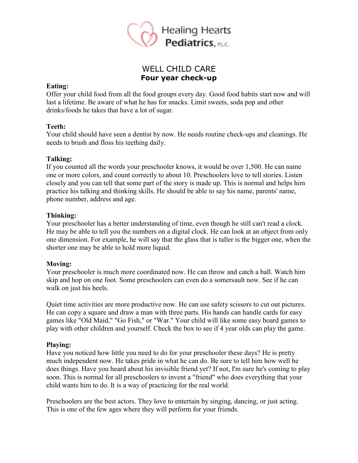

# WELL CHILD CARE **Four year check-up**

#### **Eating:**

Offer your child food from all the food groups every day. Good food habits start now and will last a lifetime. Be aware of what he has for snacks. Limit sweets, soda pop and other drinks/foods he takes that have a lot of sugar.

### **Teeth:**

Your child should have seen a dentist by now. He needs routine check-ups and cleanings. He needs to brush and floss his teething daily.

## **Talking:**

If you counted all the words your preschooler knows, it would be over 1,500. He can name one or more colors, and count correctly to about 10. Preschoolers love to tell stories. Listen closely and you can tell that some part of the story is made up. This is normal and helps him practice his talking and thinking skills. He should be able to say his name, parents' name, phone number, address and age.

### **Thinking:**

Your preschooler has a better understanding of time, even though he still can't read a clock. He may be able to tell you the numbers on a digital clock. He can look at an object from only one dimension. For example, he will say that the glass that is taller is the bigger one, when the shorter one may be able to hold more liquid.

## **Moving:**

Your preschooler is much more coordinated now. He can throw and catch a ball. Watch him skip and hop on one foot. Some preschoolers can even do a somersault now. See if he can walk on just his heels.

Quiet time activities are more productive now. He can use safety scissors to cut out pictures. He can copy a square and draw a man with three parts. His hands can handle cards for easy games like "Old Maid," "Go Fish," or "War." Your child will like some easy board games to play with other children and yourself. Check the box to see if 4 year olds can play the game.

## **Playing:**

Have you noticed how little you need to do for your preschooler these days? He is pretty much independent now. He takes pride in what he can do. Be sure to tell him how well he does things. Have you heard about his invisible friend yet? If not, I'm sure he's coming to play soon. This is normal for all preschoolers to invent a "friend" who does everything that your child wants him to do. It is a way of practicing for the real world.

Preschoolers are the best actors. They love to entertain by singing, dancing, or just acting. This is one of the few ages where they will perform for your friends.